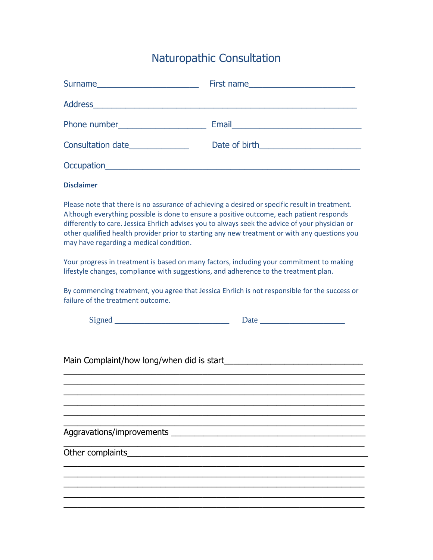## Naturopathic Consultation

|                                  | First name |
|----------------------------------|------------|
|                                  |            |
|                                  |            |
| Consultation date_______________ |            |
|                                  |            |
| <b>Disclaimer</b>                |            |

Please note that there is no assurance of achieving a desired or specific result in treatment. Although everything possible is done to ensure a positive outcome, each patient responds differently to care. Jessica Ehrlich advises you to always seek the advice of your physician or other qualified health provider prior to starting any new treatment or with any questions you may have regarding a medical condition.

Your progress in treatment is based on many factors, including your commitment to making lifestyle changes, compliance with suggestions, and adherence to the treatment plan.

By commencing treatment, you agree that Jessica Ehrlich is not responsible for the success or failure of the treatment outcome.

Signed Date Date  $\Box$ 

Main Complaint/how long/when did is start\_\_\_\_\_\_\_\_\_\_\_\_\_\_\_\_\_\_\_\_\_\_\_\_\_\_\_\_\_\_  $\overline{a_1}$  ,  $\overline{a_2}$  ,  $\overline{a_3}$  ,  $\overline{a_4}$  ,  $\overline{a_5}$  ,  $\overline{a_6}$  ,  $\overline{a_7}$  ,  $\overline{a_8}$  ,  $\overline{a_9}$  ,  $\overline{a_9}$  ,  $\overline{a_9}$  ,  $\overline{a_9}$  ,  $\overline{a_9}$  ,  $\overline{a_9}$  ,  $\overline{a_9}$  ,  $\overline{a_9}$  ,  $\overline{a_9}$  ,

 $\overline{a_1}$  ,  $\overline{a_2}$  ,  $\overline{a_3}$  ,  $\overline{a_4}$  ,  $\overline{a_5}$  ,  $\overline{a_6}$  ,  $\overline{a_7}$  ,  $\overline{a_8}$  ,  $\overline{a_9}$  ,  $\overline{a_9}$  ,  $\overline{a_9}$  ,  $\overline{a_9}$  ,  $\overline{a_9}$  ,  $\overline{a_9}$  ,  $\overline{a_9}$  ,  $\overline{a_9}$  ,  $\overline{a_9}$  ,

 $\overline{a_1}$  ,  $\overline{a_2}$  ,  $\overline{a_3}$  ,  $\overline{a_4}$  ,  $\overline{a_5}$  ,  $\overline{a_6}$  ,  $\overline{a_7}$  ,  $\overline{a_8}$  ,  $\overline{a_9}$  ,  $\overline{a_9}$  ,  $\overline{a_9}$  ,  $\overline{a_9}$  ,  $\overline{a_9}$  ,  $\overline{a_9}$  ,  $\overline{a_9}$  ,  $\overline{a_9}$  ,  $\overline{a_9}$  ,  $\overline{a_1}$  ,  $\overline{a_2}$  ,  $\overline{a_3}$  ,  $\overline{a_4}$  ,  $\overline{a_5}$  ,  $\overline{a_6}$  ,  $\overline{a_7}$  ,  $\overline{a_8}$  ,  $\overline{a_9}$  ,  $\overline{a_9}$  ,  $\overline{a_1}$  ,  $\overline{a_2}$  ,  $\overline{a_3}$  ,  $\overline{a_4}$  ,  $\overline{a_5}$  ,  $\overline{a_7}$  ,  $\overline{a_8}$  ,  $\mathcal{L}_\text{max}$  , and the contribution of the contribution of the contribution of the contribution of the contribution of the contribution of the contribution of the contribution of the contribution of the contribution of t

 $\overline{a_1}$  ,  $\overline{a_2}$  ,  $\overline{a_3}$  ,  $\overline{a_4}$  ,  $\overline{a_5}$  ,  $\overline{a_6}$  ,  $\overline{a_7}$  ,  $\overline{a_8}$  ,  $\overline{a_9}$  ,  $\overline{a_9}$  ,  $\overline{a_9}$  ,  $\overline{a_9}$  ,  $\overline{a_9}$  ,  $\overline{a_9}$  ,  $\overline{a_9}$  ,  $\overline{a_9}$  ,  $\overline{a_9}$  ,

 $\overline{a_1}$  ,  $\overline{a_2}$  ,  $\overline{a_3}$  ,  $\overline{a_4}$  ,  $\overline{a_5}$  ,  $\overline{a_6}$  ,  $\overline{a_7}$  ,  $\overline{a_8}$  ,  $\overline{a_9}$  ,  $\overline{a_9}$  ,  $\overline{a_9}$  ,  $\overline{a_9}$  ,  $\overline{a_9}$  ,  $\overline{a_9}$  ,  $\overline{a_9}$  ,  $\overline{a_9}$  ,  $\overline{a_9}$  ,  $\overline{a_1}$  ,  $\overline{a_2}$  ,  $\overline{a_3}$  ,  $\overline{a_4}$  ,  $\overline{a_5}$  ,  $\overline{a_6}$  ,  $\overline{a_7}$  ,  $\overline{a_8}$  ,  $\overline{a_9}$  ,  $\overline{a_9}$  ,  $\overline{a_9}$  ,  $\overline{a_9}$  ,  $\overline{a_9}$  ,  $\overline{a_9}$  ,  $\overline{a_9}$  ,  $\overline{a_9}$  ,  $\overline{a_9}$  ,  $\mathcal{L}_\text{max}$  , and the contribution of the contribution of the contribution of the contribution of the contribution of the contribution of the contribution of the contribution of the contribution of the contribution of t  $\overline{a_1}$  , and the set of the set of the set of the set of the set of the set of the set of the set of the set of the set of the set of the set of the set of the set of the set of the set of the set of the set of the se  $\overline{a_1}$  ,  $\overline{a_2}$  ,  $\overline{a_3}$  ,  $\overline{a_4}$  ,  $\overline{a_5}$  ,  $\overline{a_6}$  ,  $\overline{a_7}$  ,  $\overline{a_8}$  ,  $\overline{a_9}$  ,  $\overline{a_9}$  ,  $\overline{a_9}$  ,  $\overline{a_9}$  ,  $\overline{a_9}$  ,  $\overline{a_9}$  ,  $\overline{a_9}$  ,  $\overline{a_9}$  ,  $\overline{a_9}$  ,

Aggravations/improvements \_\_\_\_\_\_\_\_\_\_\_\_\_\_\_\_\_\_\_\_\_\_\_\_\_\_\_\_\_\_\_\_\_\_\_\_\_\_\_\_\_\_

Other complaints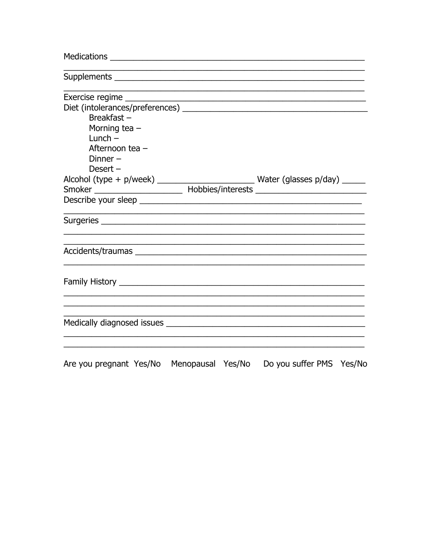| <u> 1989 - Johann John Harry Harry Harry Harry Harry Harry Harry Harry Harry Harry Harry Harry Harry Harry Harry</u> |  |
|----------------------------------------------------------------------------------------------------------------------|--|
|                                                                                                                      |  |
|                                                                                                                      |  |
| Breakfast $-$                                                                                                        |  |
| Morning tea $-$                                                                                                      |  |
| $Lunch -$                                                                                                            |  |
| Afternoon tea -                                                                                                      |  |
| Dinner $-$                                                                                                           |  |
| Desert $-$                                                                                                           |  |
|                                                                                                                      |  |
|                                                                                                                      |  |
|                                                                                                                      |  |
|                                                                                                                      |  |
|                                                                                                                      |  |
|                                                                                                                      |  |
|                                                                                                                      |  |
| Are you pregnant Yes/No Menopausal Yes/No Do you suffer PMS Yes/No                                                   |  |